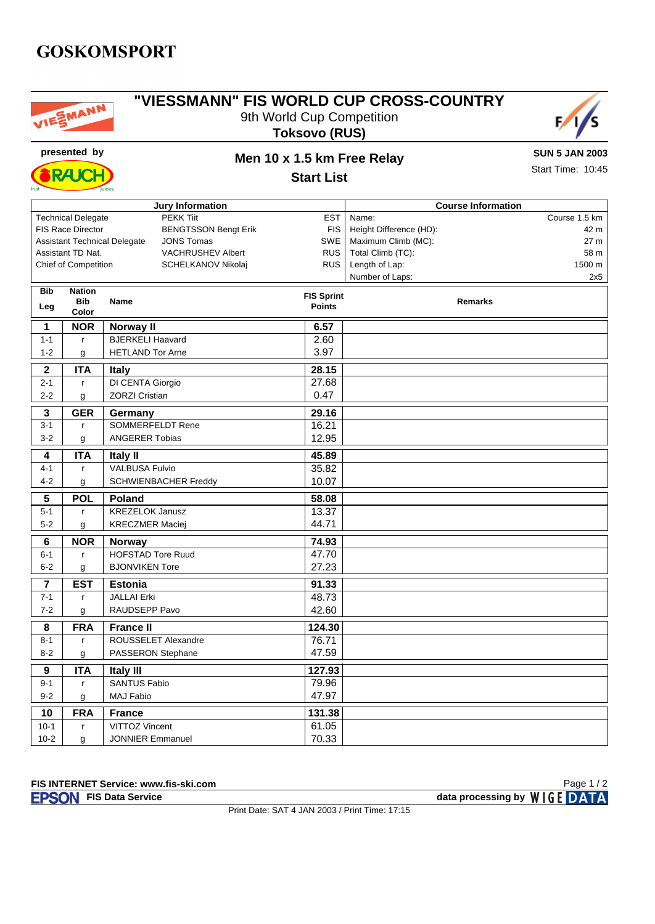### **GOSKOMSPORT**



#### **"VIESSMANN" FIS WORLD CUP CROSS-COUNTRY** 9th World Cup Competition **Toksovo (RUS)**





# **presented by Men 10 x 1.5 km Free Relay**

**SUN 5 JAN 2003**

**Start List**

Start Time: 10:45

| Jury Information                                                |                                                                        |                             |                   | <b>Course Information</b> |               |
|-----------------------------------------------------------------|------------------------------------------------------------------------|-----------------------------|-------------------|---------------------------|---------------|
| <b>Technical Delegate</b><br><b>PEKK Tiit</b><br><b>EST</b>     |                                                                        |                             |                   | Name:                     | Course 1.5 km |
|                                                                 | <b>FIS Race Director</b>                                               | <b>BENGTSSON Bengt Erik</b> | <b>FIS</b>        | Height Difference (HD):   | 42 m          |
|                                                                 | <b>Assistant Technical Delegate</b><br><b>JONS Tomas</b><br><b>SWE</b> |                             |                   | Maximum Climb (MC):       | 27 m          |
|                                                                 | <b>VACHRUSHEV Albert</b><br><b>RUS</b><br>Assistant TD Nat.            |                             |                   | Total Climb (TC):         | 58 m          |
| <b>Chief of Competition</b><br>SCHELKANOV Nikolaj<br><b>RUS</b> |                                                                        |                             | Length of Lap:    | 1500 m                    |               |
|                                                                 |                                                                        |                             |                   | Number of Laps:           | 2x5           |
| <b>Bib</b>                                                      | <b>Nation</b>                                                          |                             | <b>FIS Sprint</b> |                           |               |
| Leg                                                             | <b>Bib</b>                                                             | <b>Name</b>                 | <b>Points</b>     | <b>Remarks</b>            |               |
|                                                                 | Color                                                                  |                             |                   |                           |               |
| 1                                                               | <b>NOR</b>                                                             | Norway II                   | 6.57              |                           |               |
| $1 - 1$                                                         | $\mathsf{r}$                                                           | <b>BJERKELI Haavard</b>     | 2.60              |                           |               |
| $1 - 2$                                                         | g                                                                      | <b>HETLAND Tor Arne</b>     | 3.97              |                           |               |
| $\mathbf{2}$                                                    | <b>ITA</b>                                                             | Italy                       | 28.15             |                           |               |
| $2 - 1$                                                         | $\mathsf{r}$                                                           | DI CENTA Giorgio            | 27.68             |                           |               |
| $2 - 2$                                                         | g                                                                      | <b>ZORZI Cristian</b>       | 0.47              |                           |               |
| $\mathbf{3}$                                                    | <b>GER</b>                                                             | Germany                     | 29.16             |                           |               |
| $3 - 1$                                                         | $\mathsf{r}$                                                           | SOMMERFELDT Rene            | 16.21             |                           |               |
| $3 - 2$                                                         | g                                                                      | <b>ANGERER Tobias</b>       | 12.95             |                           |               |
|                                                                 |                                                                        |                             |                   |                           |               |
| 4                                                               | <b>ITA</b>                                                             | <b>Italy II</b>             | 45.89             |                           |               |
| $4 - 1$                                                         | $\mathsf{r}$                                                           | <b>VALBUSA Fulvio</b>       | 35.82             |                           |               |
| $4 - 2$                                                         | g                                                                      | <b>SCHWIENBACHER Freddy</b> | 10.07             |                           |               |
| $5\phantom{a}$                                                  | <b>POL</b>                                                             | Poland                      | 58.08             |                           |               |
| $5 - 1$                                                         | $\mathsf{r}$                                                           | <b>KREZELOK Janusz</b>      | 13.37             |                           |               |
| $5 - 2$                                                         | g                                                                      | <b>KRECZMER Maciej</b>      | 44.71             |                           |               |
| 6                                                               | <b>NOR</b>                                                             | <b>Norway</b>               | 74.93             |                           |               |
| $6 - 1$                                                         | $\mathsf{r}$                                                           | <b>HOFSTAD Tore Ruud</b>    | 47.70             |                           |               |
| $6 - 2$                                                         | g                                                                      | <b>BJONVIKEN Tore</b>       | 27.23             |                           |               |
| $\overline{7}$                                                  | <b>EST</b>                                                             | <b>Estonia</b>              | 91.33             |                           |               |
| $7 - 1$                                                         | $\mathsf{r}$                                                           | <b>JALLAI Erki</b>          | 48.73             |                           |               |
| $7 - 2$                                                         | g                                                                      | RAUDSEPP Pavo               | 42.60             |                           |               |
|                                                                 |                                                                        |                             |                   |                           |               |
| $\pmb{8}$                                                       | <b>FRA</b>                                                             | <b>France II</b>            | 124.30            |                           |               |
| $8 - 1$                                                         | $\mathsf{r}$                                                           | ROUSSELET Alexandre         | 76.71             |                           |               |
| $8 - 2$                                                         | g                                                                      | PASSERON Stephane           | 47.59             |                           |               |
| 9                                                               | <b>ITA</b>                                                             | <b>Italy III</b>            | 127.93            |                           |               |
| $9 - 1$                                                         | $\mathsf{r}$                                                           | <b>SANTUS Fabio</b>         | 79.96             |                           |               |
| $9 - 2$                                                         | g                                                                      | <b>MAJ Fabio</b>            | 47.97             |                           |               |
| 10                                                              | <b>FRA</b>                                                             | <b>France</b>               | 131.38            |                           |               |
| $10-1$                                                          | r                                                                      | <b>VITTOZ Vincent</b>       | 61.05             |                           |               |
| $10-2$                                                          | g                                                                      | <b>JONNIER Emmanuel</b>     | 70.33             |                           |               |
|                                                                 |                                                                        |                             |                   |                           |               |

**FISON** FIS Data Service **data processing by** WIGE DATA Page 1 / 2

Print Date: SAT 4 JAN 2003 / Print Time: 17:15